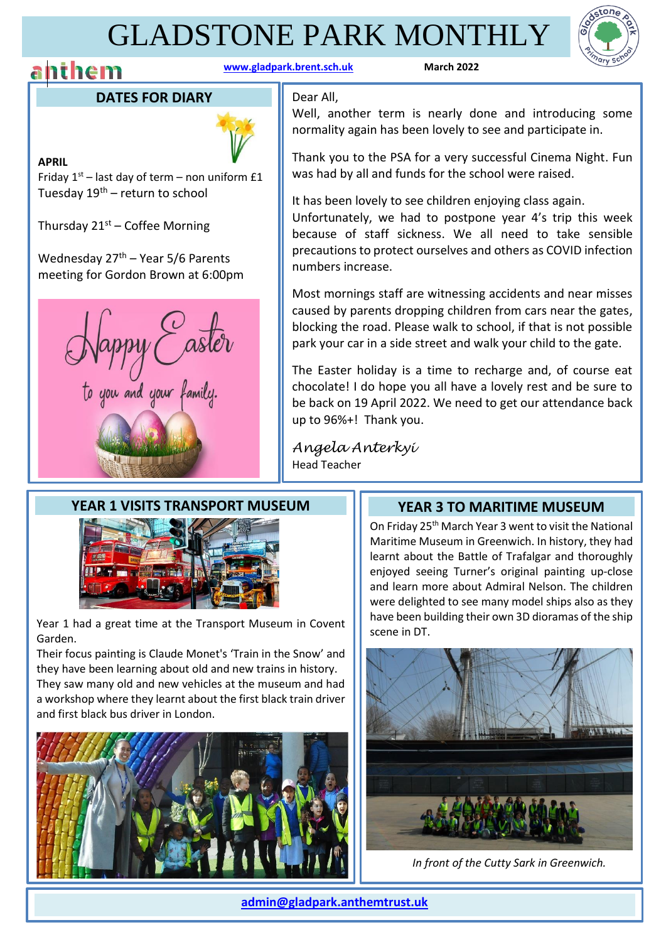# GLADSTONE PARK MONTHLY

## **anthem** *www.gladpark.brent.sch.uk* **<b>March** 2022

#### **DATES FOR DIARY**



**APRIL** Friday  $1^{st}$  – last day of term – non uniform  $£1$ Tuesday  $19^{th}$  – return to school

Thursday  $21^{st}$  – Coffee Morning

Wednesday  $27<sup>th</sup>$  – Year 5/6 Parents meeting for Gordon Brown at 6:00pm



#### Dear All,

Well, another term is nearly done and introducing some normality again has been lovely to see and participate in.

Thank you to the PSA for a very successful Cinema Night. Fun was had by all and funds for the school were raised.

It has been lovely to see children enjoying class again. Unfortunately, we had to postpone year 4's trip this week because of staff sickness. We all need to take sensible precautions to protect ourselves and others as COVID infection numbers increase.

Most mornings staff are witnessing accidents and near misses caused by parents dropping children from cars near the gates, blocking the road. Please walk to school, if that is not possible park your car in a side street and walk your child to the gate.

The Easter holiday is a time to recharge and, of course eat chocolate! I do hope you all have a lovely rest and be sure to be back on 19 April 2022. We need to get our attendance back up to 96%+! Thank you.

*Angela Anterkyi*  Head Teacher

### **YEAR 1 VISITS TRANSPORT MUSEUM**



Year 1 had a great time at the Transport Museum in Covent Garden.

Their focus painting is Claude Monet's 'Train in the Snow' and they have been learning about old and new trains in history. They saw many old and new vehicles at the museum and had a workshop where they learnt about the first black train driver and first black bus driver in London.



 $\overline{a}$ 

### **YEAR 3 TO MARITIME MUSEUM**

On Friday 25th March Year 3 went to visit the National Maritime Museum in Greenwich. In history, they had learnt about the Battle of Trafalgar and thoroughly enjoyed seeing Turner's original painting up-close and learn more about Admiral Nelson. The children were delighted to see many model ships also as they have been building their own 3D dioramas of the ship scene in DT.



*In front of the Cutty Sark in Greenwich.*

**[admin@gladpark.anthemtrust.uk](mailto:admin@gladpark.anthemtrust.uk)**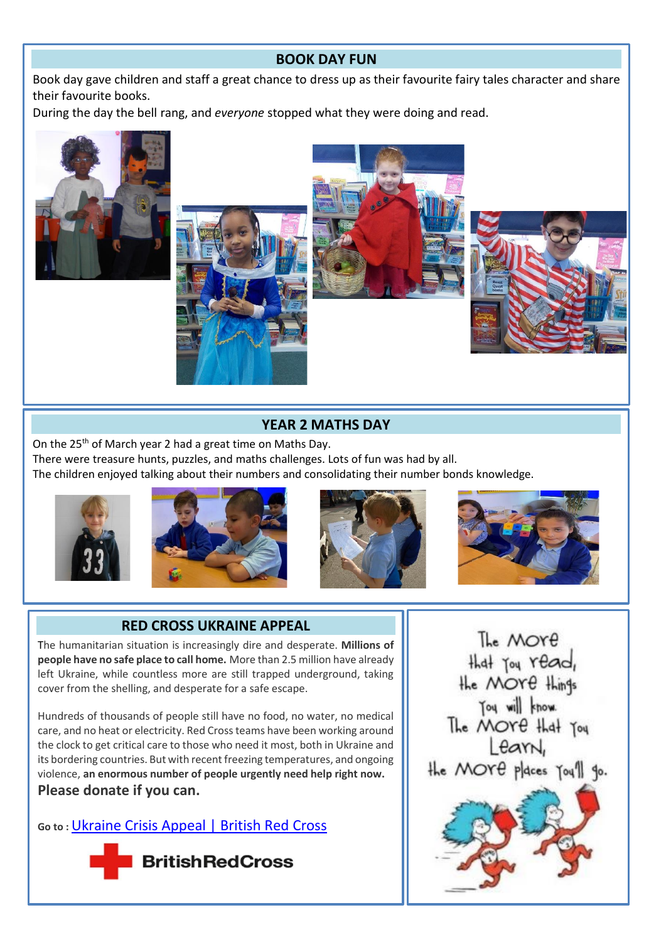### **BOOK DAY FUN**

Book day gave children and staff a great chance to dress up as their favourite fairy tales character and share their favourite books.

During the day the bell rang, and *everyone* stopped what they were doing and read.









#### **YEAR 2 MATHS DAY**

On the 25<sup>th</sup> of March year 2 had a great time on Maths Day.

There were treasure hunts, puzzles, and maths challenges. Lots of fun was had by all.

The children enjoyed talking about their numbers and consolidating their number bonds knowledge.



Ī





I



#### **RED CROSS UKRAINE APPEAL**

The humanitarian situation is increasingly dire and desperate. **Millions of people have no safe place to call home.** More than 2.5 million have already left Ukraine, while countless more are still trapped underground, taking cover from the shelling, and desperate for a safe escape.

Hundreds of thousands of people still have no food, no water, no medical care, and no heat or electricity. Red Cross teams have been working around the clock to get critical care to those who need it most, both in Ukraine and its bordering countries. But with recent freezing temperatures, and ongoing violence, **an enormous number of people urgently need help right now. Please donate if you can.**

**Go to :** [Ukraine Crisis Appeal | British Red Cross](https://donate.redcross.org.uk/appeal/ukraine-crisis-appeal)